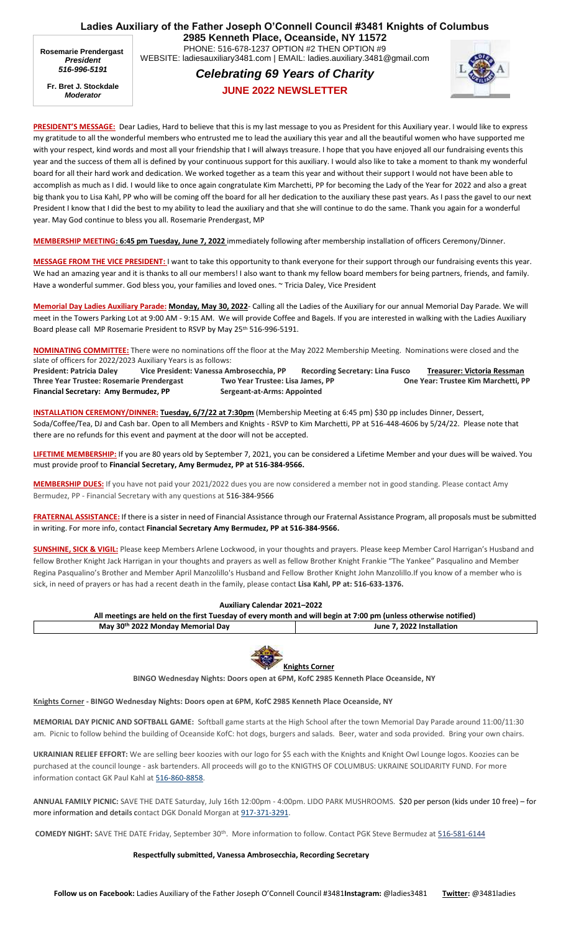**Ladies Auxiliary of the Father Joseph O'Connell Council #3481 Knights of Columbus 2985 Kenneth Place, Oceanside, NY 11572** PHONE: 516-678-1237 OPTION #2 THEN OPTION #9 WEBSITE: ladiesauxiliary3481.com | EMAIL: ladies.auxiliary.3481@gmail.com **Rosemarie Prendergast**

*President 516-996-5191*

**Fr. Bret J. Stockdale** *Moderator*

## *Celebrating 69 Years of Charity*



**JUNE 2022 NEWSLETTER**

**PRESIDENT'S MESSAGE:** Dear Ladies, Hard to believe that this is my last message to you as President for this Auxiliary year. I would like to express my gratitude to all the wonderful members who entrusted me to lead the auxiliary this year and all the beautiful women who have supported me with your respect, kind words and most all your friendship that I will always treasure. I hope that you have enjoyed all our fundraising events this year and the success of them all is defined by your continuous support for this auxiliary. I would also like to take a moment to thank my wonderful board for all their hard work and dedication. We worked together as a team this year and without their support I would not have been able to accomplish as much as I did. I would like to once again congratulate Kim Marchetti, PP for becoming the Lady of the Year for 2022 and also a great big thank you to Lisa Kahl, PP who will be coming off the board for all her dedication to the auxiliary these past years. As I pass the gavel to our next President I know that I did the best to my ability to lead the auxiliary and that she will continue to do the same. Thank you again for a wonderful year. May God continue to bless you all. Rosemarie Prendergast, MP

**MEMBERSHIP MEETING: 6:45 pm Tuesday, June 7, 2022** immediately following after membership installation of officers Ceremony/Dinner.

**MESSAGE FROM THE VICE PRESIDENT:** I want to take this opportunity to thank everyone for their support through our fundraising events this year. We had an amazing year and it is thanks to all our members! I also want to thank my fellow board members for being partners, friends, and family. Have a wonderful summer. God bless you, your families and loved ones. ~ Tricia Daley, Vice President

**Memorial Day Ladies Auxiliary Parade: Monday, May 30, 2022**- Calling all the Ladies of the Auxiliary for our annual Memorial Day Parade. We will meet in the Towers Parking Lot at 9:00 AM - 9:15 AM. We will provide Coffee and Bagels. If you are interested in walking with the Ladies Auxiliary Board please callMP Rosemarie President to RSVP by May 25th 516-996-5191.

**NOMINATING COMMITTEE:** There were no nominations off the floor at the May 2022 Membership Meeting. Nominations were closed and the slate of officers for 2022/2023 Auxiliary Years is as follows:

President: Patricia Daley Vice President: Vanessa Ambrosecchia, PP Recording Secretary: Lina Fusco Treasurer: Victoria Ressman **Three Year Trustee: Rosemarie Prendergast Two Year Trustee: Lisa James, PP One Year: Trustee Kim Marchetti, PP**  Financial Secretary: Amy Bermudez, PP Sergeant-at-Arms: Appointed

**INSTALLATION CEREMONY/DINNER: Tuesday, 6/7/22 at 7:30pm** (Membership Meeting at 6:45 pm) \$30 pp includes Dinner, Dessert, Soda/Coffee/Tea, DJ and Cash bar. Open to all Members and Knights - RSVP to Kim Marchetti, PP at 516-448-4606 by 5/24/22. Please note that there are no refunds for this event and payment at the door will not be accepted.

**LIFETIME MEMBERSHIP:** If you are 80 years old by September 7, 2021, you can be considered a Lifetime Member and your dues will be waived. You must provide proof to **Financial Secretary, Amy Bermudez, PP at 516-384-9566.**

**MEMBERSHIP DUES:** If you have not paid your 2021/2022 dues you are now considered a member not in good standing. Please contact Amy Bermudez, PP - Financial Secretary with any questions at [516-384-9566](tel:516-384-9566)

**FRATERNAL ASSISTANCE:** If there is a sister in need of Financial Assistance through our Fraternal Assistance Program, all proposals must be submitted in writing. For more info, contact **Financial Secretary Amy Bermudez, PP at 516-384-9566.**

**SUNSHINE, SICK & VIGIL:** Please keep Members Arlene Lockwood, in your thoughts and prayers. Please keep Member Carol Harrigan's Husband and fellow Brother Knight Jack Harrigan in your thoughts and prayers as well as fellow Brother Knight Frankie "The Yankee" Pasqualino and Member Regina Pasqualino's Brother and Member April Manzolillo's Husband and Fellow Brother Knight John Manzolillo.If you know of a member who is sick, in need of prayers or has had a recent death in the family, please contact **Lisa Kahl, PP at: 516-633-1376.**

| Auxiliary Calendar 2021-2022                                                                                    |                           |
|-----------------------------------------------------------------------------------------------------------------|---------------------------|
| All meetings are held on the first Tuesday of every month and will begin at 7:00 pm (unless otherwise notified) |                           |
| May 30th 2022 Monday Memorial Day                                                                               | June 7. 2022 Installation |



**BINGO Wednesday Nights: Doors open at 6PM, KofC 2985 Kenneth Place Oceanside, NY**

**Knights Corner - BINGO Wednesday Nights: Doors open at 6PM, KofC 2985 Kenneth Place Oceanside, NY**

**MEMORIAL DAY PICNIC AND SOFTBALL GAME:** Softball game starts at the High School after the town Memorial Day Parade around 11:00/11:30 am. Picnic to follow behind the building of Oceanside KofC: hot dogs, burgers and salads. Beer, water and soda provided. Bring your own chairs.

**UKRAINIAN RELIEF EFFORT:** We are selling beer koozies with our logo for \$5 each with the Knights and Knight Owl Lounge logos. Koozies can be purchased at the council lounge - ask bartenders. All proceeds will go to the KNIGTHS OF COLUMBUS: UKRAINE SOLIDARITY FUND. For more information contact GK Paul Kahl at [516-860-8858.](tel:516-860-8858)

**ANNUAL FAMILY PICNIC:** SAVE THE DATE Saturday, July 16th 12:00pm - 4:00pm. LIDO PARK MUSHROOMS. \$20 per person (kids under 10 free) – for more information and details contact DGK Donald Morgan at [917-371-3291.](tel:917-371-3291)

**COMEDY NIGHT:** SAVE THE DATE Friday, September 30th . More information to follow. Contact PGK Steve Bermudez at 516-581-6144

## **Respectfully submitted, Vanessa Ambrosecchia, Recording Secretary**